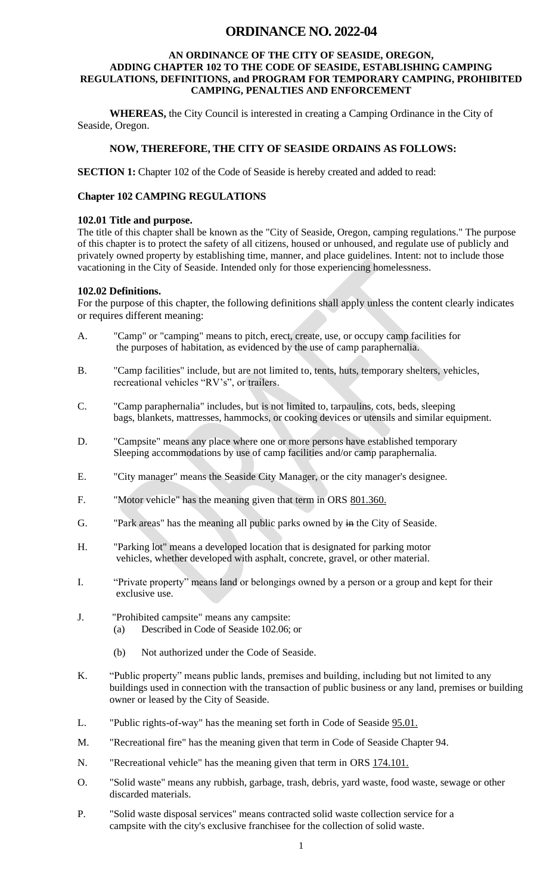# **ORDINANCE NO. 2022-04**

#### **AN ORDINANCE OF THE CITY OF SEASIDE, OREGON, ADDING CHAPTER 102 TO THE CODE OF SEASIDE, ESTABLISHING CAMPING REGULATIONS, DEFINITIONS, and PROGRAM FOR TEMPORARY CAMPING, PROHIBITED CAMPING, PENALTIES AND ENFORCEMENT**

**WHEREAS,** the City Council is interested in creating a Camping Ordinance in the City of Seaside, Oregon.

### **NOW, THEREFORE, THE CITY OF SEASIDE ORDAINS AS FOLLOWS:**

**SECTION 1:** Chapter 102 of the Code of Seaside is hereby created and added to read:

#### **Chapter 102 CAMPING REGULATIONS**

#### **102.01 Title and purpose.**

The title of this chapter shall be known as the "City of Seaside, Oregon, camping regulations." The purpose of this chapter is to protect the safety of all citizens, housed or unhoused, and regulate use of publicly and privately owned property by establishing time, manner, and place guidelines. Intent: not to include those vacationing in the City of Seaside. Intended only for those experiencing homelessness.

#### **102.02 Definitions.**

For the purpose of this chapter, the following definitions shall apply unless the content clearly indicates or requires different meaning:

- A. "Camp" or "camping" means to pitch, erect, create, use, or occupy camp facilities for the purposes of habitation, as evidenced by the use of camp paraphernalia.
- B. "Camp facilities" include, but are not limited to, tents, huts, temporary shelters, vehicles, recreational vehicles "RV's", or trailers.
- C. "Camp paraphernalia" includes, but is not limited to, tarpaulins, cots, beds, sleeping bags, blankets, mattresses, hammocks, or cooking devices or utensils and similar equipment.
- D. "Campsite" means any place where one or more persons have established temporary Sleeping accommodations by use of camp facilities and/or camp paraphernalia.
- E. "City manager" means the Seaside City Manager, or the city manager's designee.
- F. "Motor vehicle" has the meaning given that term in ORS 801.360.
- G. "Park areas" has the meaning all public parks owned by in the City of Seaside.
- H. "Parking lot" means a developed location that is designated for parking motor vehicles, whether developed with asphalt, concrete, gravel, or other material.
- I. "Private property" means land or belongings owned by a person or a group and kept for their exclusive use.
- J. "Prohibited campsite" means any campsite:
	- (a) Described in Code of Seaside 102.06; or
	- (b) Not authorized under the Code of Seaside.
- K. "Public property" means public lands, premises and building, including but not limited to any buildings used in connection with the transaction of public business or any land, premises or building owner or leased by the City of Seaside.
- L. "Public rights-of-way" has the meaning set forth in Code of Seaside 95.01.
- M. "Recreational fire" has the meaning given that term in Code of Seaside Chapter 94.
- N. "Recreational vehicle" has the meaning given that term in ORS 174.101.
- O. "Solid waste" means any rubbish, garbage, trash, debris, yard waste, food waste, sewage or other discarded materials.
- P. "Solid waste disposal services" means contracted solid waste collection service for a campsite with the city's exclusive franchisee for the collection of solid waste.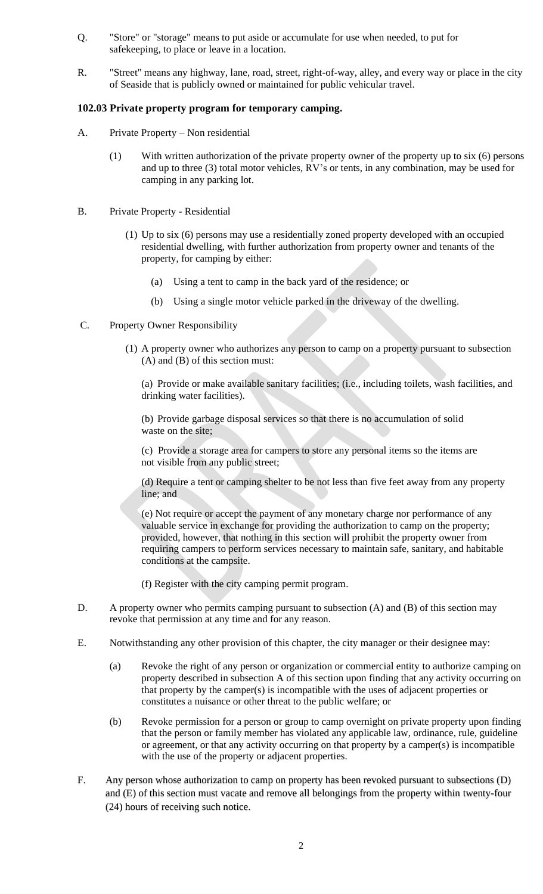- Q. "Store" or "storage" means to put aside or accumulate for use when needed, to put for safekeeping, to place or leave in a location.
- R. "Street" means any highway, lane, road, street, right-of-way, alley, and every way or place in the city of Seaside that is publicly owned or maintained for public vehicular travel.

### **102.03 Private property program for temporary camping.**

- A. Private Property Non residential
	- (1) With written authorization of the private property owner of the property up to six (6) persons and up to three (3) total motor vehicles, RV's or tents, in any combination, may be used for camping in any parking lot.
- B. Private Property Residential
	- (1) Up to six (6) persons may use a residentially zoned property developed with an occupied residential dwelling, with further authorization from property owner and tenants of the property, for camping by either:
		- (a) Using a tent to camp in the back yard of the residence; or
		- (b) Using a single motor vehicle parked in the driveway of the dwelling.
- C. Property Owner Responsibility
	- (1) A property owner who authorizes any person to camp on a property pursuant to subsection (A) and (B) of this section must:

(a) Provide or make available sanitary facilities; (i.e., including toilets, wash facilities, and drinking water facilities).

(b) Provide garbage disposal services so that there is no accumulation of solid waste on the site;

(c) Provide a storage area for campers to store any personal items so the items are not visible from any public street;

(d) Require a tent or camping shelter to be not less than five feet away from any property line; and

(e) Not require or accept the payment of any monetary charge nor performance of any valuable service in exchange for providing the authorization to camp on the property; provided, however, that nothing in this section will prohibit the property owner from requiring campers to perform services necessary to maintain safe, sanitary, and habitable conditions at the campsite.

- (f) Register with the city camping permit program.
- D. A property owner who permits camping pursuant to subsection (A) and (B) of this section may revoke that permission at any time and for any reason.
- E. Notwithstanding any other provision of this chapter, the city manager or their designee may:
	- (a) Revoke the right of any person or organization or commercial entity to authorize camping on property described in subsection A of this section upon finding that any activity occurring on that property by the camper(s) is incompatible with the uses of adjacent properties or constitutes a nuisance or other threat to the public welfare; or
	- (b) Revoke permission for a person or group to camp overnight on private property upon finding that the person or family member has violated any applicable law, ordinance, rule, guideline or agreement, or that any activity occurring on that property by a camper(s) is incompatible with the use of the property or adjacent properties.
- F. Any person whose authorization to camp on property has been revoked pursuant to subsections (D) and (E) of this section must vacate and remove all belongings from the property within twenty-four (24) hours of receiving such notice.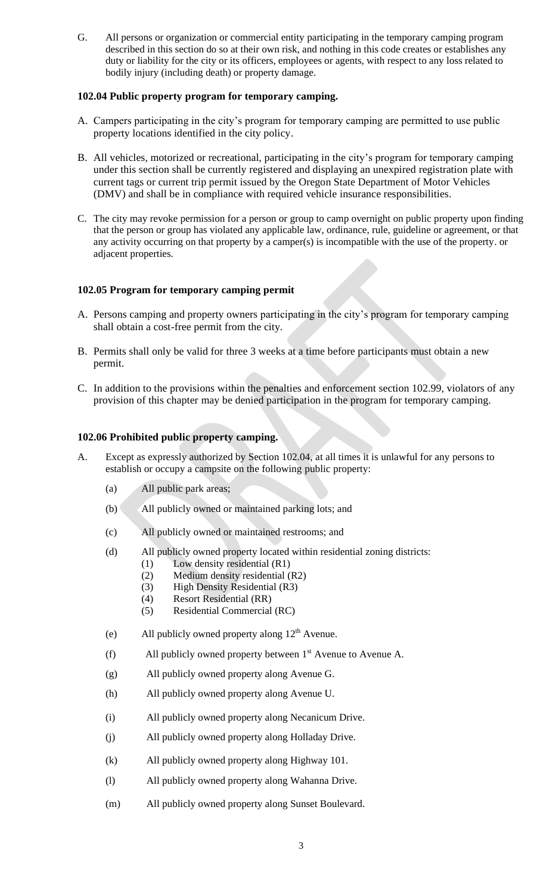G. All persons or organization or commercial entity participating in the temporary camping program described in this section do so at their own risk, and nothing in this code creates or establishes any duty or liability for the city or its officers, employees or agents, with respect to any loss related to bodily injury (including death) or property damage.

### **102.04 Public property program for temporary camping.**

- A. Campers participating in the city's program for temporary camping are permitted to use public property locations identified in the city policy.
- B. All vehicles, motorized or recreational, participating in the city's program for temporary camping under this section shall be currently registered and displaying an unexpired registration plate with current tags or current trip permit issued by the Oregon State Department of Motor Vehicles (DMV) and shall be in compliance with required vehicle insurance responsibilities.
- C. The city may revoke permission for a person or group to camp overnight on public property upon finding that the person or group has violated any applicable law, ordinance, rule, guideline or agreement, or that any activity occurring on that property by a camper(s) is incompatible with the use of the property. or adjacent properties.

## **102.05 Program for temporary camping permit**

- A. Persons camping and property owners participating in the city's program for temporary camping shall obtain a cost-free permit from the city.
- B. Permits shall only be valid for three 3 weeks at a time before participants must obtain a new permit.
- C. In addition to the provisions within the penalties and enforcement section 102.99, violators of any provision of this chapter may be denied participation in the program for temporary camping.

### **102.06 Prohibited public property camping.**

- A. Except as expressly authorized by Section 102.04, at all times it is unlawful for any persons to establish or occupy a campsite on the following public property:
	- (a) All public park areas;
	- (b) All publicly owned or maintained parking lots; and
	- (c) All publicly owned or maintained restrooms; and
	- (d) All publicly owned property located within residential zoning districts:
		- (1) Low density residential (R1)
		- (2) Medium density residential (R2)
		- (3) High Density Residential (R3)
		- (4) Resort Residential (RR)
		- (5) Residential Commercial (RC)
	- (e) All publicly owned property along  $12<sup>th</sup>$  Avenue.
	- (f) All publicly owned property between  $1<sup>st</sup>$  Avenue to Avenue A.
	- (g) All publicly owned property along Avenue G.
	- (h) All publicly owned property along Avenue U.
	- (i) All publicly owned property along Necanicum Drive.
	- (j) All publicly owned property along Holladay Drive.
	- (k) All publicly owned property along Highway 101.
	- (l) All publicly owned property along Wahanna Drive.
	- (m) All publicly owned property along Sunset Boulevard.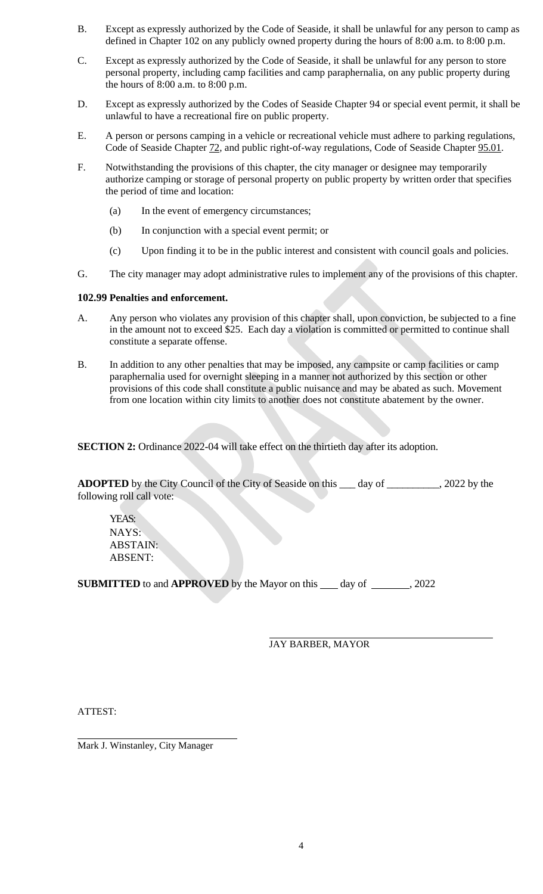- B. Except as expressly authorized by the Code of Seaside, it shall be unlawful for any person to camp as defined in Chapter 102 on any publicly owned property during the hours of 8:00 a.m. to 8:00 p.m.
- C. Except as expressly authorized by the Code of Seaside, it shall be unlawful for any person to store personal property, including camp facilities and camp paraphernalia, on any public property during the hours of 8:00 a.m. to 8:00 p.m.
- D. Except as expressly authorized by the Codes of Seaside Chapter 94 or special event permit, it shall be unlawful to have a recreational fire on public property.
- E. A person or persons camping in a vehicle or recreational vehicle must adhere to parking regulations, Code of Seaside Chapter 72, and public right-of-way regulations, Code of Seaside Chapter 95.01.
- F. Notwithstanding the provisions of this chapter, the city manager or designee may temporarily authorize camping or storage of personal property on public property by written order that specifies the period of time and location:
	- (a) In the event of emergency circumstances;
	- (b) In conjunction with a special event permit; or
	- (c) Upon finding it to be in the public interest and consistent with council goals and policies.
- G. The city manager may adopt administrative rules to implement any of the provisions of this chapter.

#### **102.99 Penalties and enforcement.**

- A. Any person who violates any provision of this chapter shall, upon conviction, be subjected to a fine in the amount not to exceed \$25. Each day a violation is committed or permitted to continue shall constitute a separate offense.
- B. In addition to any other penalties that may be imposed, any campsite or camp facilities or camp paraphernalia used for overnight sleeping in a manner not authorized by this section or other provisions of this code shall constitute a public nuisance and may be abated as such. Movement from one location within city limits to another does not constitute abatement by the owner.

**SECTION 2:** Ordinance 2022-04 will take effect on the thirtieth day after its adoption.

**ADOPTED** by the City Council of the City of Seaside on this \_\_\_ day of \_\_\_\_\_\_\_\_\_\_, 2022 by the following roll call vote:

YEAS: NAYS: ABSTAIN: ABSENT:

**SUBMITTED** to and **APPROVED** by the Mayor on this day of , 2022

JAY BARBER, MAYOR

ATTEST:

Mark J. Winstanley, City Manager